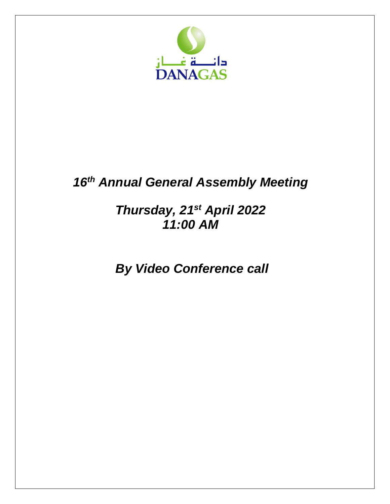

# *16 th Annual General Assembly Meeting*

## *Thursday, 21st April 2022 11:00 AM*

*By Video Conference call*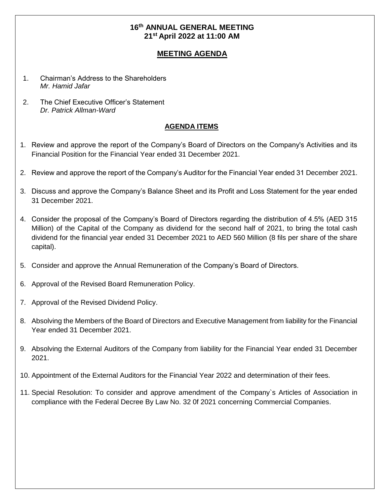## **16 th ANNUAL GENERAL MEETING 21 st April 2022 at 11:00 AM**

## **MEETING AGENDA**

- 1. Chairman's Address to the Shareholders *Mr. Hamid Jafar*
- 2. The Chief Executive Officer's Statement *Dr. Patrick Allman-Ward*

#### **AGENDA ITEMS**

- 1. Review and approve the report of the Company's Board of Directors on the Company's Activities and its Financial Position for the Financial Year ended 31 December 2021.
- 2. Review and approve the report of the Company's Auditor for the Financial Year ended 31 December 2021.
- 3. Discuss and approve the Company's Balance Sheet and its Profit and Loss Statement for the year ended 31 December 2021.
- 4. Consider the proposal of the Company's Board of Directors regarding the distribution of 4.5% (AED 315 Million) of the Capital of the Company as dividend for the second half of 2021, to bring the total cash dividend for the financial year ended 31 December 2021 to AED 560 Million (8 fils per share of the share capital).
- 5. Consider and approve the Annual Remuneration of the Company's Board of Directors.
- 6. Approval of the Revised Board Remuneration Policy.
- 7. Approval of the Revised Dividend Policy.
- 8. Absolving the Members of the Board of Directors and Executive Management from liability for the Financial Year ended 31 December 2021.
- 9. Absolving the External Auditors of the Company from liability for the Financial Year ended 31 December 2021.
- 10. Appointment of the External Auditors for the Financial Year 2022 and determination of their fees.
- 11. Special Resolution: To consider and approve amendment of the Company`s Articles of Association in compliance with the Federal Decree By Law No. 32 0f 2021 concerning Commercial Companies.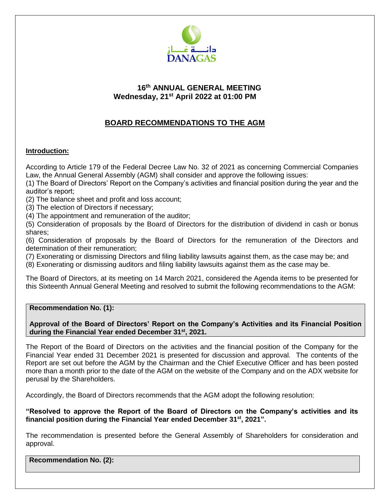

## **16 th ANNUAL GENERAL MEETING Wednesday, 21 st April 2022 at 01:00 PM**

## **BOARD RECOMMENDATIONS TO THE AGM**

## **Introduction:**

According to Article 179 of the Federal Decree Law No. 32 of 2021 as concerning Commercial Companies Law, the Annual General Assembly (AGM) shall consider and approve the following issues:

(1) The Board of Directors' Report on the Company's activities and financial position during the year and the auditor's report;

(2) The balance sheet and profit and loss account;

(3) The election of Directors if necessary;

(4) The appointment and remuneration of the auditor;

(5) Consideration of proposals by the Board of Directors for the distribution of dividend in cash or bonus shares;

(6) Consideration of proposals by the Board of Directors for the remuneration of the Directors and determination of their remuneration;

(7) Exonerating or dismissing Directors and filing liability lawsuits against them, as the case may be; and

(8) Exonerating or dismissing auditors and filing liability lawsuits against them as the case may be.

The Board of Directors, at its meeting on 14 March 2021, considered the Agenda items to be presented for this Sixteenth Annual General Meeting and resolved to submit the following recommendations to the AGM:

#### **Recommendation No. (1):**

#### **Approval of the Board of Directors' Report on the Company's Activities and its Financial Position during the Financial Year ended December 31st , 2021.**

The Report of the Board of Directors on the activities and the financial position of the Company for the Financial Year ended 31 December 2021 is presented for discussion and approval. The contents of the Report are set out before the AGM by the Chairman and the Chief Executive Officer and has been posted more than a month prior to the date of the AGM on the website of the Company and on the ADX website for perusal by the Shareholders.

Accordingly, the Board of Directors recommends that the AGM adopt the following resolution:

**"Resolved to approve the Report of the Board of Directors on the Company's activities and its financial position during the Financial Year ended December 31st , 2021".**

The recommendation is presented before the General Assembly of Shareholders for consideration and approval.

**Recommendation No. (2):**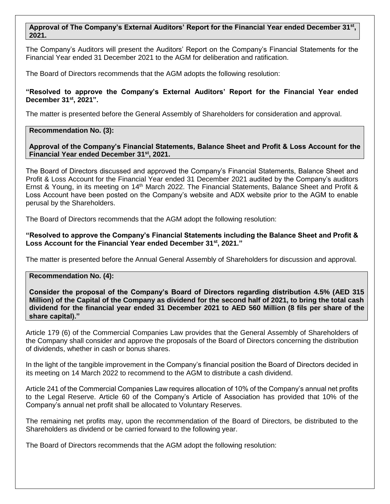#### **Approval of The Company's External Auditors' Report for the Financial Year ended December 31st , 2021.**

The Company's Auditors will present the Auditors' Report on the Company's Financial Statements for the Financial Year ended 31 December 2021 to the AGM for deliberation and ratification.

The Board of Directors recommends that the AGM adopts the following resolution:

#### **"Resolved to approve the Company's External Auditors' Report for the Financial Year ended December 31st , 2021".**

The matter is presented before the General Assembly of Shareholders for consideration and approval.

#### **Recommendation No. (3):**

**Approval of the Company's Financial Statements, Balance Sheet and Profit & Loss Account for the Financial Year ended December 31st , 2021.**

The Board of Directors discussed and approved the Company's Financial Statements, Balance Sheet and Profit & Loss Account for the Financial Year ended 31 December 2021 audited by the Company's auditors Ernst & Young, in its meeting on 14<sup>th</sup> March 2022. The Financial Statements, Balance Sheet and Profit & Loss Account have been posted on the Company's website and ADX website prior to the AGM to enable perusal by the Shareholders.

The Board of Directors recommends that the AGM adopt the following resolution:

**"Resolved to approve the Company's Financial Statements including the Balance Sheet and Profit & Loss Account for the Financial Year ended December 31st , 2021."**

The matter is presented before the Annual General Assembly of Shareholders for discussion and approval.

#### **Recommendation No. (4):**

**Consider the proposal of the Company's Board of Directors regarding distribution 4.5% (AED 315 Million) of the Capital of the Company as dividend for the second half of 2021, to bring the total cash dividend for the financial year ended 31 December 2021 to AED 560 Million (8 fils per share of the share capital)."**

Article 179 (6) of the Commercial Companies Law provides that the General Assembly of Shareholders of the Company shall consider and approve the proposals of the Board of Directors concerning the distribution of dividends, whether in cash or bonus shares.

In the light of the tangible improvement in the Company's financial position the Board of Directors decided in its meeting on 14 March 2022 to recommend to the AGM to distribute a cash dividend.

Article 241 of the Commercial Companies Law requires allocation of 10% of the Company's annual net profits to the Legal Reserve. Article 60 of the Company's Article of Association has provided that 10% of the Company's annual net profit shall be allocated to Voluntary Reserves.

The remaining net profits may, upon the recommendation of the Board of Directors, be distributed to the Shareholders as dividend or be carried forward to the following year.

The Board of Directors recommends that the AGM adopt the following resolution: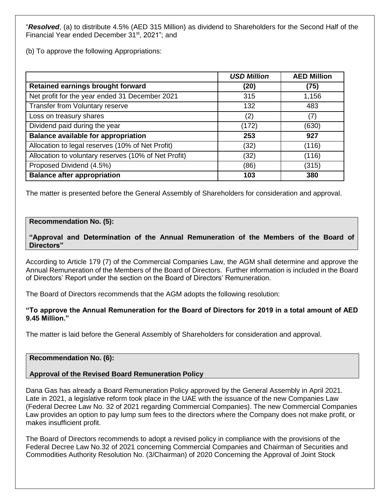"*Resolved*, (a) to distribute 4.5% (AED 315 Million) as dividend to Shareholders for the Second Half of the Financial Year ended December 31<sup>st</sup>, 2021"; and

(b) To approve the following Appropriations:

|                                                      | <b>USD Million</b> | <b>AED Million</b> |
|------------------------------------------------------|--------------------|--------------------|
| Retained earnings brought forward                    | (20)               | (75)               |
| Net profit for the year ended 31 December 2021       | 315                | 1,156              |
| Transfer from Voluntary reserve                      | 132                | 483                |
| Loss on treasury shares                              | (2)                | (7)                |
| Dividend paid during the year                        | (172)              | (630)              |
| <b>Balance available for appropriation</b>           | 253                | 927                |
| Allocation to legal reserves (10% of Net Profit)     | (32)               | (116)              |
| Allocation to voluntary reserves (10% of Net Profit) | (32)               | (116)              |
| Proposed Dividend (4.5%)                             | (86)               | (315)              |
| <b>Balance after appropriation</b>                   | 103                | 380                |

The matter is presented before the General Assembly of Shareholders for consideration and approval.

#### **Recommendation No. (5):**

**"Approval and Determination of the Annual Remuneration of the Members of the Board of Directors"**

According to Article 179 (7) of the Commercial Companies Law, the AGM shall determine and approve the Annual Remuneration of the Members of the Board of Directors. Further information is included in the Board of Directors' Report under the section on the Board of Directors' Remuneration.

The Board of Directors recommends that the AGM adopts the following resolution:

#### **"To approve the Annual Remuneration for the Board of Directors for 2019 in a total amount of AED 9.45 Million."**

The matter is laid before the General Assembly of Shareholders for consideration and approval.

#### **Recommendation No. (6):**

#### **Approval of the Revised Board Remuneration Policy**

Dana Gas has already a Board Remuneration Policy approved by the General Assembly in April 2021. Late in 2021, a legislative reform took place in the UAE with the issuance of the new Companies Law (Federal Decree Law No. 32 of 2021 regarding Commercial Companies). The new Commercial Companies Law provides an option to pay lump sum fees to the directors where the Company does not make profit, or makes insufficient profit.

The Board of Directors recommends to adopt a revised policy in compliance with the provisions of the Federal Decree Law No.32 of 2021 concerning Commercial Companies and Chairman of Securities and Commodities Authority Resolution No. (3/Chairman) of 2020 Concerning the Approval of Joint Stock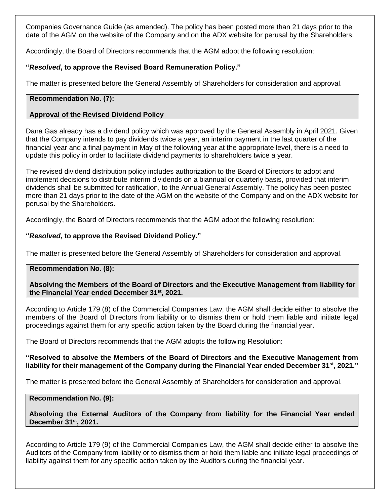Companies Governance Guide (as amended). The policy has been posted more than 21 days prior to the date of the AGM on the website of the Company and on the ADX website for perusal by the Shareholders.

Accordingly, the Board of Directors recommends that the AGM adopt the following resolution:

## **"***Resolved***, to approve the Revised Board Remuneration Policy."**

The matter is presented before the General Assembly of Shareholders for consideration and approval.

#### **Recommendation No. (7):**

## **Approval of the Revised Dividend Policy**

Dana Gas already has a dividend policy which was approved by the General Assembly in April 2021. Given that the Company intends to pay dividends twice a year, an interim payment in the last quarter of the financial year and a final payment in May of the following year at the appropriate level, there is a need to update this policy in order to facilitate dividend payments to shareholders twice a year.

The revised dividend distribution policy includes authorization to the Board of Directors to adopt and implement decisions to distribute interim dividends on a biannual or quarterly basis, provided that interim dividends shall be submitted for ratification, to the Annual General Assembly. The policy has been posted more than 21 days prior to the date of the AGM on the website of the Company and on the ADX website for perusal by the Shareholders.

Accordingly, the Board of Directors recommends that the AGM adopt the following resolution:

#### **"***Resolved***, to approve the Revised Dividend Policy."**

The matter is presented before the General Assembly of Shareholders for consideration and approval.

#### **Recommendation No. (8):**

**Absolving the Members of the Board of Directors and the Executive Management from liability for the Financial Year ended December 31st , 2021.**

According to Article 179 (8) of the Commercial Companies Law, the AGM shall decide either to absolve the members of the Board of Directors from liability or to dismiss them or hold them liable and initiate legal proceedings against them for any specific action taken by the Board during the financial year.

The Board of Directors recommends that the AGM adopts the following Resolution:

#### **"Resolved to absolve the Members of the Board of Directors and the Executive Management from liability for their management of the Company during the Financial Year ended December 31st , 2021."**

The matter is presented before the General Assembly of Shareholders for consideration and approval.

#### **Recommendation No. (9):**

## **Absolving the External Auditors of the Company from liability for the Financial Year ended December 31st , 2021.**

According to Article 179 (9) of the Commercial Companies Law, the AGM shall decide either to absolve the Auditors of the Company from liability or to dismiss them or hold them liable and initiate legal proceedings of liability against them for any specific action taken by the Auditors during the financial year.